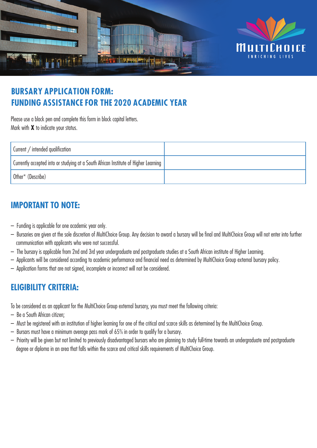

# **BURSARY APPLICATION FORM: FUNDING ASSISTANCE FOR THE 2020 ACADEMIC YEAR**

Please use a black pen and complete this form in block capital letters. Mark with **X** to indicate your status.

| Current / intended qualification                                                    |  |
|-------------------------------------------------------------------------------------|--|
| Currently accepted into or studying at a South African Institute of Higher Learning |  |
| Other $*$ (Describe)                                                                |  |

# **IMPORTANT TO NOTE:**

- Funding is applicable for one academic year only.
- Bursaries are given at the sole discretion of MultiChoice Group. Any decision to award a bursary will be final and MultiChoice Group will not enter into further communication with applicants who were not successful.
- The bursary is applicable from 2nd and 3rd year undergraduate and postgraduate studies at a South African institute of Higher Learning.
- Applicants will be considered according to academic performance and financial need as determined by MultiChoice Group external bursary policy.
- Application forms that are not signed, incomplete or incorrect will not be considered.

## **ELIGIBILITY CRITERIA:**

To be considered as an applicant for the MultiChoice Group external bursary, you must meet the following criteria:

- Be a South African citizen;
- Must be registered with an institution of higher learning for one of the critical and scarce skills as determined by the MultiChoice Group.
- Bursars must have a minimum average pass mark of 65% in order to qualify for a bursary.
- Priority will be given but not limited to previously disadvantaged bursars who are planning to study full-time towards an undergraduate and postgraduate degree or diploma in an area that falls within the scarce and critical skills requirements of MultiChoice Group.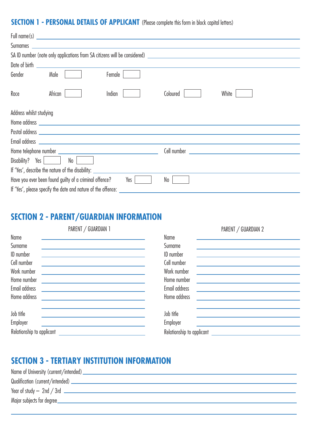### **SECTION 1 - PERSONAL DETAILS OF APPLICANT** (Please complete this form in block capital letters)

| Gender<br>Female<br>Male                                                         |                                                                                                                                                                                                                                      |
|----------------------------------------------------------------------------------|--------------------------------------------------------------------------------------------------------------------------------------------------------------------------------------------------------------------------------------|
| African<br>Race<br>Indian                                                        | Coloured<br>White                                                                                                                                                                                                                    |
| Address whilst studying                                                          |                                                                                                                                                                                                                                      |
|                                                                                  |                                                                                                                                                                                                                                      |
|                                                                                  |                                                                                                                                                                                                                                      |
|                                                                                  |                                                                                                                                                                                                                                      |
|                                                                                  | Cell number <b>contract the contract of the contract of the contract of the contract of the contract of the contract of the contract of the contract of the contract of the contract of the contract of the contract of the cont</b> |
| Disability? Yes<br>No                                                            |                                                                                                                                                                                                                                      |
| If 'Yes', describe the nature of the disability: _______________________________ |                                                                                                                                                                                                                                      |
| Have you ever been found guilty of a criminal offence?<br>Yes                    | No                                                                                                                                                                                                                                   |
| If 'Yes', please specify the date and nature of the offence:                     |                                                                                                                                                                                                                                      |

# **SECTION 2 - PARENT/GUARDIAN INFORMATION**

|                           | PARENT / GUARDIAN 1 |                           | PARENT / GUARDIAN 2 |  |
|---------------------------|---------------------|---------------------------|---------------------|--|
| Name                      |                     | Name                      |                     |  |
| Surname                   |                     | Surname                   |                     |  |
| ID number                 |                     | <b>ID</b> number          |                     |  |
| Cell number               |                     | Cell number               |                     |  |
| Work number               |                     | Work number               |                     |  |
| Home number               |                     | Home number               |                     |  |
| Email address             |                     | Email address             |                     |  |
| Home address              |                     | Home address              |                     |  |
| Job title                 |                     | Job title                 |                     |  |
| Employer                  |                     | Employer                  |                     |  |
| Relationship to applicant |                     | Relationship to applicant |                     |  |

# **SECTION 3 - TERTIARY INSTITUTION INFORMATION**

| Major subjects for degree_ |
|----------------------------|
|                            |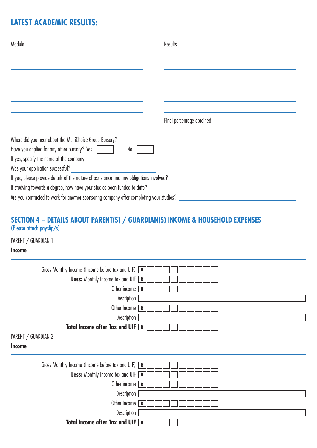# **LATEST ACADEMIC RESULTS:**

| Module                                                                                                                                                                                                                                                                   | Results |
|--------------------------------------------------------------------------------------------------------------------------------------------------------------------------------------------------------------------------------------------------------------------------|---------|
|                                                                                                                                                                                                                                                                          |         |
|                                                                                                                                                                                                                                                                          |         |
|                                                                                                                                                                                                                                                                          |         |
|                                                                                                                                                                                                                                                                          |         |
|                                                                                                                                                                                                                                                                          |         |
| Where did you hear about the MultiChoice Group Bursary?                                                                                                                                                                                                                  |         |
| Have you applied for any other bursary? Yes<br>No                                                                                                                                                                                                                        |         |
| If yes, specify the name of the company                                                                                                                                                                                                                                  |         |
| Was your application successful?<br><u> The Communication of the Communication of the Communication of the Communication of the Communication of the Communication of the Communication of the Communication of the Communication of the Communication of the Commun</u> |         |
|                                                                                                                                                                                                                                                                          |         |
|                                                                                                                                                                                                                                                                          |         |
| Are you contracted to work for another sponsoring company after completing your studies?                                                                                                                                                                                 |         |

### **SECTION 4 – DETAILS ABOUT PARENT(S) / GUARDIAN(S) INCOME & HOUSEHOLD EXPENSES**  (Please attach payslip/s)

PARENT / GUARDIAN 1

#### **Income**

| Gross Monthly Income (Income before tax and UIF) $\boxed{\mathbf{R}}$ |             |
|-----------------------------------------------------------------------|-------------|
| <b>Less:</b> Monthly Income tax and UIF                               | $\mathbf R$ |
| Other income                                                          | $\mathbf R$ |
| Description                                                           |             |
| Other Income                                                          | R           |
| Description                                                           |             |
| Total Income after Tax and UIF $R$                                    |             |
| PARENT / GUARDIAN 2<br><b>Income</b>                                  |             |
| Gross Monthly Income (Income before tax and UIF) $\boxed{\mathbf{R}}$ |             |
| Less: Monthly Income tax and UIF [                                    | $\mathbf R$ |
| Other income                                                          | ${\bf R}$   |
| Description                                                           |             |
| Other Income                                                          | $\mathbf R$ |
| Description                                                           |             |
| <b>Total Income after Tax and UIF</b>                                 | R           |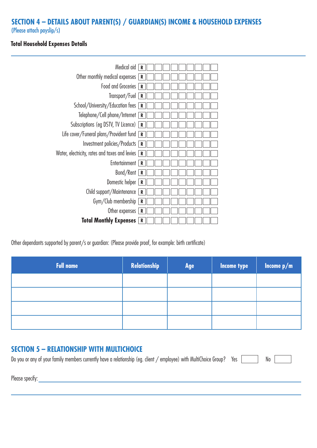### **SECTION 4 – DETAILS ABOUT PARENT(S) / GUARDIAN(S) INCOME & HOUSEHOLD EXPENSES**

(Please attach payslip/s)

#### **Total Household Expenses Details**



Other dependants supported by parent/s or guardian: (Please provide proof, for example: birth certificate)

| <b>Full name</b> | Relationship | Age | Income type | Income $p/m$ |
|------------------|--------------|-----|-------------|--------------|
|                  |              |     |             |              |
|                  |              |     |             |              |
|                  |              |     |             |              |
|                  |              |     |             |              |

### **SECTION 5 – RELATIONSHIP WITH MULTICHOICE**

| Do you or any of your family members currently have a relationship (eg. client / employee) with MultiChoice Group? Yes |  |  | No |
|------------------------------------------------------------------------------------------------------------------------|--|--|----|
|------------------------------------------------------------------------------------------------------------------------|--|--|----|

Please specify: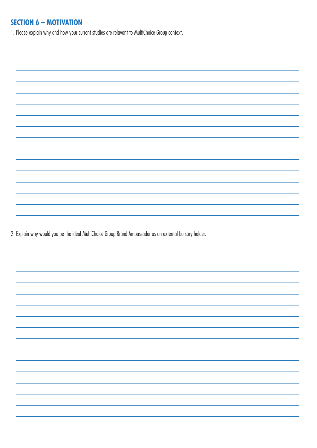### **SECTION 6 – MOTIVATION**

1. Please explain why and how your current studies are relavant to MultiChoice Group context.

2. Explain why would you be the ideal MultiChoice Group Brand Ambassador as an external bursary holder.